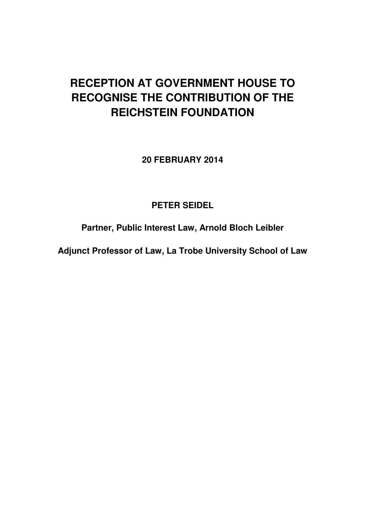## **RECEPTION AT GOVERNMENT HOUSE TO RECOGNISE THE CONTRIBUTION OF THE REICHSTEIN FOUNDATION**

**20 FEBRUARY 2014** 

## **PETER SEIDEL**

**Partner, Public Interest Law, Arnold Bloch Leibler** 

**Adjunct Professor of Law, La Trobe University School of Law**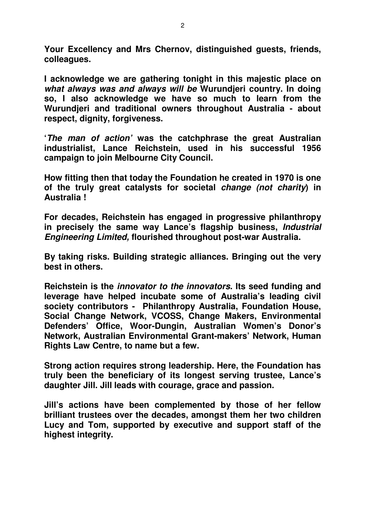**Your Excellency and Mrs Chernov, distinguished guests, friends, colleagues.** 

**I acknowledge we are gathering tonight in this majestic place on what always was and always will be Wurundjeri country. In doing so, I also acknowledge we have so much to learn from the Wurundjeri and traditional owners throughout Australia - about respect, dignity, forgiveness.** 

**'The man of action' was the catchphrase the great Australian industrialist, Lance Reichstein, used in his successful 1956 campaign to join Melbourne City Council.** 

**How fitting then that today the Foundation he created in 1970 is one of the truly great catalysts for societal change (not charity) in Australia !** 

**For decades, Reichstein has engaged in progressive philanthropy in precisely the same way Lance's flagship business, Industrial Engineering Limited, flourished throughout post-war Australia.** 

**By taking risks. Building strategic alliances. Bringing out the very best in others.** 

**Reichstein is the innovator to the innovators. Its seed funding and leverage have helped incubate some of Australia's leading civil society contributors - Philanthropy Australia, Foundation House, Social Change Network, VCOSS, Change Makers, Environmental Defenders' Office, Woor-Dungin, Australian Women's Donor's Network, Australian Environmental Grant-makers' Network, Human Rights Law Centre, to name but a few.** 

**Strong action requires strong leadership. Here, the Foundation has truly been the beneficiary of its longest serving trustee, Lance's daughter Jill. Jill leads with courage, grace and passion.** 

**Jill's actions have been complemented by those of her fellow brilliant trustees over the decades, amongst them her two children Lucy and Tom, supported by executive and support staff of the highest integrity.**